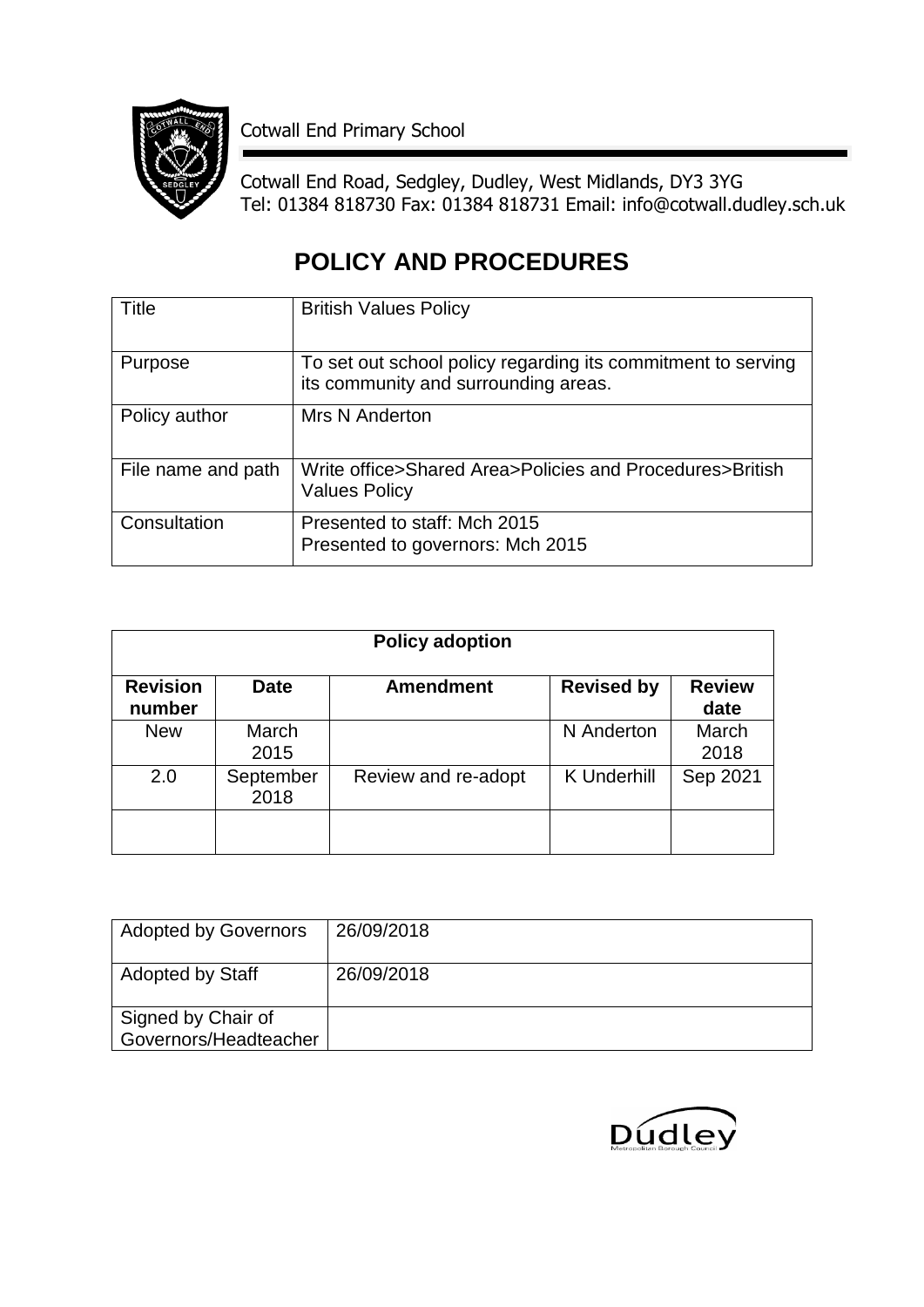

Cotwall End Primary School

Cotwall End Road, Sedgley, Dudley, West Midlands, DY3 3YG Tel: 01384 818730 Fax: 01384 818731 Email: info@cotwall.dudley.sch.uk

## **POLICY AND PROCEDURES**

| Title              | <b>British Values Policy</b>                                                                         |
|--------------------|------------------------------------------------------------------------------------------------------|
| Purpose            | To set out school policy regarding its commitment to serving<br>its community and surrounding areas. |
| Policy author      | Mrs N Anderton                                                                                       |
| File name and path | Write office>Shared Area>Policies and Procedures>British<br><b>Values Policy</b>                     |
| Consultation       | Presented to staff: Mch 2015<br>Presented to governors: Mch 2015                                     |

| <b>Policy adoption</b>    |                   |                     |                    |                       |
|---------------------------|-------------------|---------------------|--------------------|-----------------------|
| <b>Revision</b><br>number | <b>Date</b>       | <b>Amendment</b>    | <b>Revised by</b>  | <b>Review</b><br>date |
| <b>New</b>                | March<br>2015     |                     | N Anderton         | March<br>2018         |
| 2.0                       | September<br>2018 | Review and re-adopt | <b>K</b> Underhill | Sep 2021              |
|                           |                   |                     |                    |                       |

| <b>Adopted by Governors</b>                 | 26/09/2018 |
|---------------------------------------------|------------|
| <b>Adopted by Staff</b>                     | 26/09/2018 |
| Signed by Chair of<br>Governors/Headteacher |            |

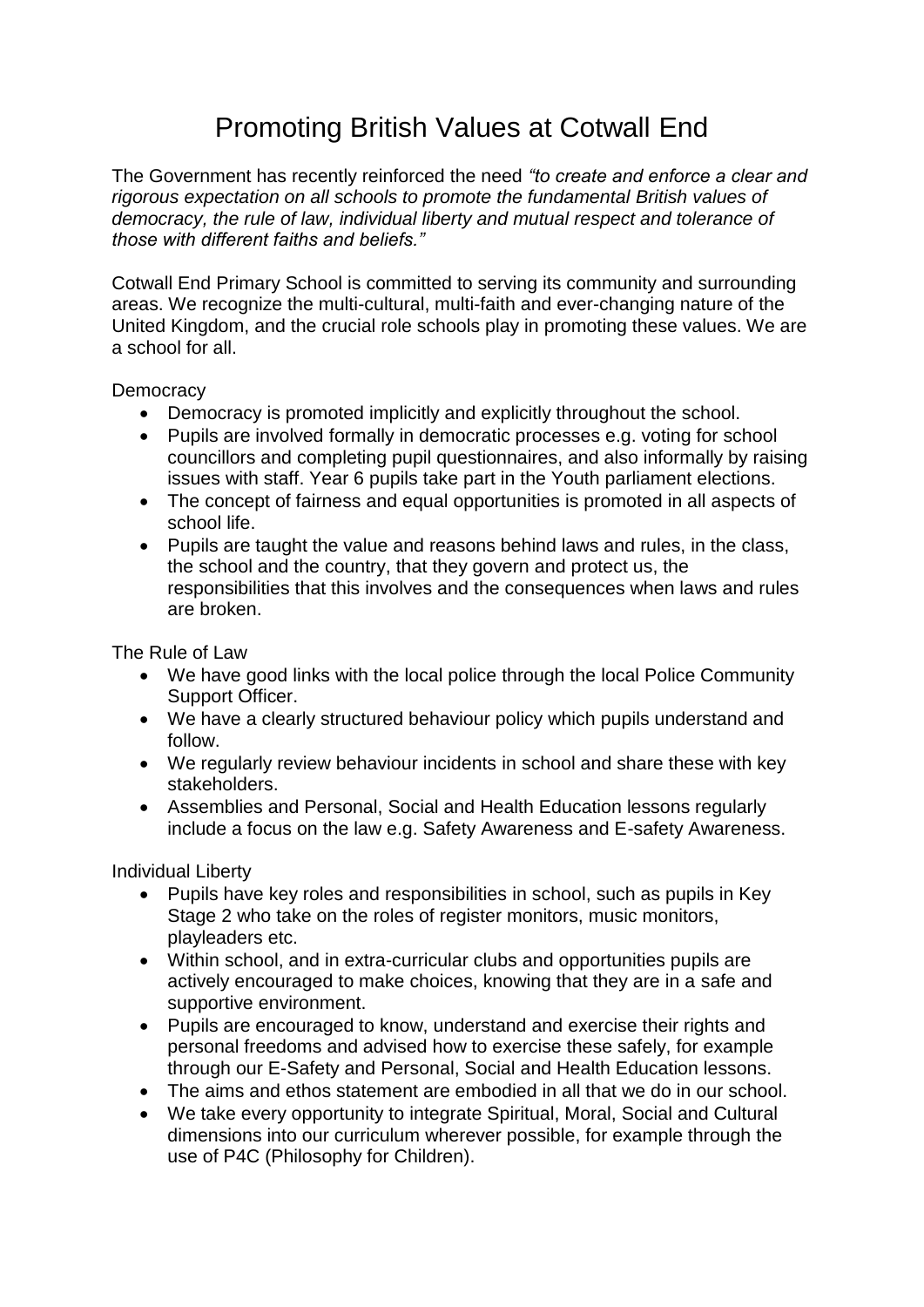## Promoting British Values at Cotwall End

The Government has recently reinforced the need *"to create and enforce a clear and rigorous expectation on all schools to promote the fundamental British values of democracy, the rule of law, individual liberty and mutual respect and tolerance of those with different faiths and beliefs."*

Cotwall End Primary School is committed to serving its community and surrounding areas. We recognize the multi-cultural, multi-faith and ever-changing nature of the United Kingdom, and the crucial role schools play in promoting these values. We are a school for all.

**Democracy** 

- Democracy is promoted implicitly and explicitly throughout the school.
- Pupils are involved formally in democratic processes e.g. voting for school councillors and completing pupil questionnaires, and also informally by raising issues with staff. Year 6 pupils take part in the Youth parliament elections.
- The concept of fairness and equal opportunities is promoted in all aspects of school life.
- Pupils are taught the value and reasons behind laws and rules, in the class, the school and the country, that they govern and protect us, the responsibilities that this involves and the consequences when laws and rules are broken.

The Rule of Law

- We have good links with the local police through the local Police Community Support Officer.
- We have a clearly structured behaviour policy which pupils understand and follow.
- We regularly review behaviour incidents in school and share these with key stakeholders.
- Assemblies and Personal, Social and Health Education lessons regularly include a focus on the law e.g. Safety Awareness and E-safety Awareness.

Individual Liberty

- Pupils have key roles and responsibilities in school, such as pupils in Key Stage 2 who take on the roles of register monitors, music monitors, playleaders etc.
- Within school, and in extra-curricular clubs and opportunities pupils are actively encouraged to make choices, knowing that they are in a safe and supportive environment.
- Pupils are encouraged to know, understand and exercise their rights and personal freedoms and advised how to exercise these safely, for example through our E-Safety and Personal, Social and Health Education lessons.
- The aims and ethos statement are embodied in all that we do in our school.
- We take every opportunity to integrate Spiritual, Moral, Social and Cultural dimensions into our curriculum wherever possible, for example through the use of P4C (Philosophy for Children).